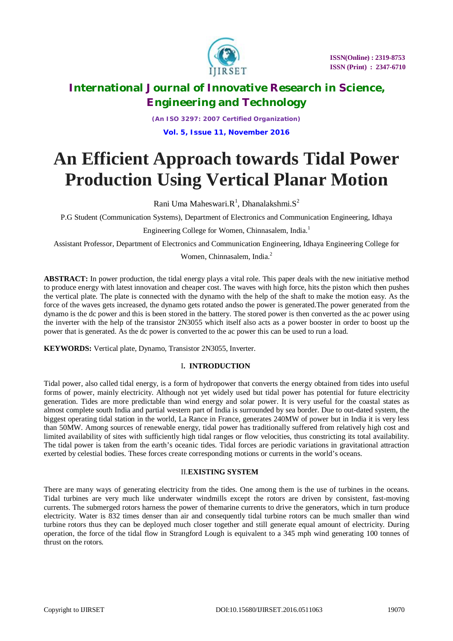

*(An ISO 3297: 2007 Certified Organization)* **Vol. 5, Issue 11, November 2016**

# **An Efficient Approach towards Tidal Power Production Using Vertical Planar Motion**

Rani Uma Maheswari. $R^1$ , Dhanalakshmi. $S^2$ 

P.G Student (Communication Systems), Department of Electronics and Communication Engineering, Idhaya

Engineering College for Women, Chinnasalem, India.<sup>1</sup>

Assistant Professor, Department of Electronics and Communication Engineering, Idhaya Engineering College for

Women, Chinnasalem, India.<sup>2</sup>

**ABSTRACT:** In power production, the tidal energy plays a vital role. This paper deals with the new initiative method to produce energy with latest innovation and cheaper cost. The waves with high force, hits the piston which then pushes the vertical plate. The plate is connected with the dynamo with the help of the shaft to make the motion easy. As the force of the waves gets increased, the dynamo gets rotated andso the power is generated.The power generated from the dynamo is the dc power and this is been stored in the battery. The stored power is then converted as the ac power using the inverter with the help of the transistor 2N3055 which itself also acts as a power booster in order to boost up the power that is generated. As the dc power is converted to the ac power this can be used to run a load.

**KEYWORDS:** Vertical plate, Dynamo, Transistor 2N3055, Inverter.

### I**. INTRODUCTION**

Tidal power, also called tidal energy, is a form of hydropower that converts the energy obtained from tides into useful forms of power, mainly electricity. Although not yet widely used but tidal power has potential for future electricity generation. Tides are more predictable than wind energy and solar power. It is very useful for the coastal states as almost complete south India and partial western part of India is surrounded by sea border. Due to out-dated system, the biggest operating tidal station in the world, La Rance in France, generates 240MW of power but in India it is very less than 50MW. Among sources of renewable energy, tidal power has traditionally suffered from relatively high cost and limited availability of sites with sufficiently high tidal ranges or flow velocities, thus constricting its total availability. The tidal power is taken from the earth's oceanic tides. Tidal forces are periodic variations in gravitational attraction exerted by celestial bodies. These forces create corresponding motions or currents in the world's oceans.

### II.**EXISTING SYSTEM**

There are many ways of generating electricity from the tides. One among them is the use of turbines in the oceans. Tidal turbines are very much like underwater windmills except the rotors are driven by consistent, fast-moving currents. The submerged rotors harness the power of themarine currents to drive the generators, which in turn produce electricity. Water is 832 times denser than air and consequently tidal turbine rotors can be much smaller than wind turbine rotors thus they can be deployed much closer together and still generate equal amount of electricity. During operation, the force of the tidal flow in Strangford Lough is equivalent to a 345 mph wind generating 100 tonnes of thrust on the rotors.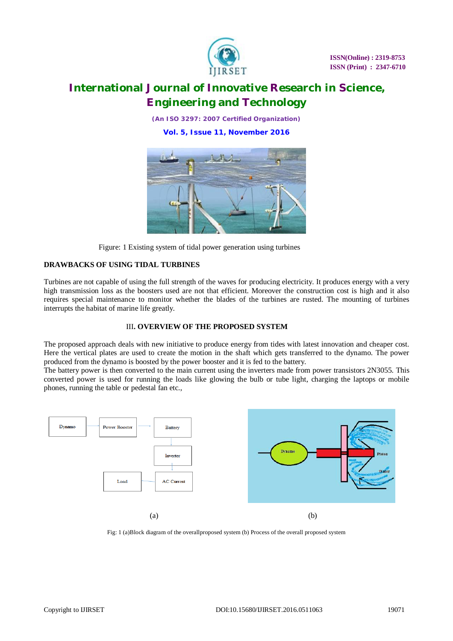

*(An ISO 3297: 2007 Certified Organization)* **Vol. 5, Issue 11, November 2016**



Figure: 1 Existing system of tidal power generation using turbines

### **DRAWBACKS OF USING TIDAL TURBINES**

Turbines are not capable of using the full strength of the waves for producing electricity. It produces energy with a very high transmission loss as the boosters used are not that efficient. Moreover the construction cost is high and it also requires special maintenance to monitor whether the blades of the turbines are rusted. The mounting of turbines interrupts the habitat of marine life greatly.

#### III**. OVERVIEW OF THE PROPOSED SYSTEM**

The proposed approach deals with new initiative to produce energy from tides with latest innovation and cheaper cost. Here the vertical plates are used to create the motion in the shaft which gets transferred to the dynamo. The power produced from the dynamo is boosted by the power booster and it is fed to the battery.

The battery power is then converted to the main current using the inverters made from power transistors 2N3055. This converted power is used for running the loads like glowing the bulb or tube light, charging the laptops or mobile phones, running the table or pedestal fan etc.,



Fig: 1 (a)Block diagram of the overallproposed system (b) Process of the overall proposed system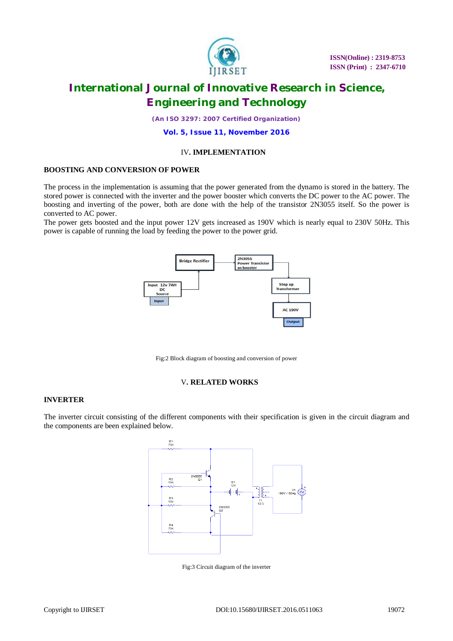

*(An ISO 3297: 2007 Certified Organization)*

**Vol. 5, Issue 11, November 2016**

#### IV**. IMPLEMENTATION**

#### **BOOSTING AND CONVERSION OF POWER**

The process in the implementation is assuming that the power generated from the dynamo is stored in the battery. The stored power is connected with the inverter and the power booster which converts the DC power to the AC power. The boosting and inverting of the power, both are done with the help of the transistor 2N3055 itself. So the power is converted to AC power.

The power gets boosted and the input power 12V gets increased as 190V which is nearly equal to 230V 50Hz. This power is capable of running the load by feeding the power to the power grid.



Fig:2 Block diagram of boosting and conversion of power

#### V**. RELATED WORKS**

#### **INVERTER**

The inverter circuit consisting of the different components with their specification is given in the circuit diagram and the components are been explained below.



Fig:3 Circuit diagram of the inverter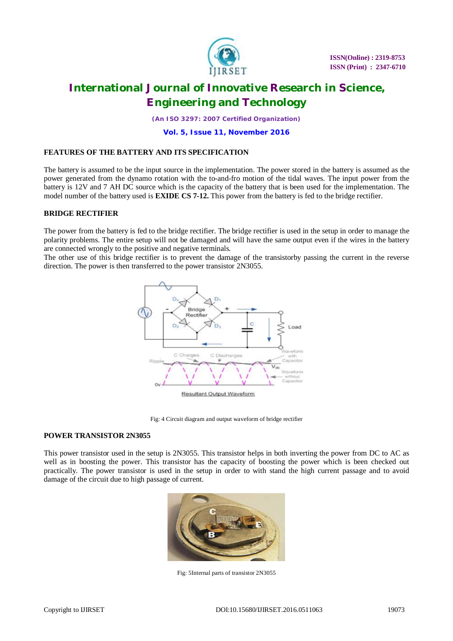

*(An ISO 3297: 2007 Certified Organization)*

**Vol. 5, Issue 11, November 2016**

#### **FEATURES OF THE BATTERY AND ITS SPECIFICATION**

The battery is assumed to be the input source in the implementation. The power stored in the battery is assumed as the power generated from the dynamo rotation with the to-and-fro motion of the tidal waves. The input power from the battery is 12V and 7 AH DC source which is the capacity of the battery that is been used for the implementation. The model number of the battery used is **EXIDE CS 7-12.** This power from the battery is fed to the bridge rectifier.

#### **BRIDGE RECTIFIER**

The power from the battery is fed to the bridge rectifier. The bridge rectifier is used in the setup in order to manage the polarity problems. The entire setup will not be damaged and will have the same output even if the wires in the battery are connected wrongly to the positive and negative terminals.

The other use of this bridge rectifier is to prevent the damage of the transistorby passing the current in the reverse direction. The power is then transferred to the power transistor 2N3055.



Fig: 4 Circuit diagram and output waveform of bridge rectifier

#### **POWER TRANSISTOR 2N3055**

This power transistor used in the setup is 2N3055. This transistor helps in both inverting the power from DC to AC as well as in boosting the power. This transistor has the capacity of boosting the power which is been checked out practically. The power transistor is used in the setup in order to with stand the high current passage and to avoid damage of the circuit due to high passage of current.



Fig: 5Internal parts of transistor 2N3055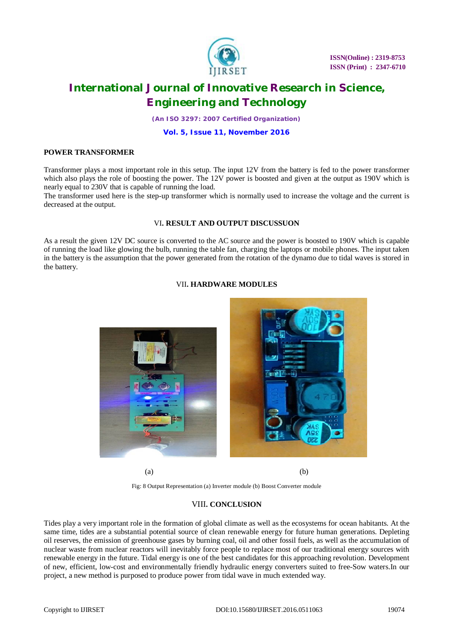

 **ISSN(Online) : 2319-8753 ISSN (Print) : 2347-6710**

### **International Journal of Innovative Research in Science, Engineering and Technology**

*(An ISO 3297: 2007 Certified Organization)*

**Vol. 5, Issue 11, November 2016**

#### **POWER TRANSFORMER**

Transformer plays a most important role in this setup. The input 12V from the battery is fed to the power transformer which also plays the role of boosting the power. The 12V power is boosted and given at the output as 190V which is nearly equal to 230V that is capable of running the load.

The transformer used here is the step-up transformer which is normally used to increase the voltage and the current is decreased at the output.

#### VI**. RESULT AND OUTPUT DISCUSSUON**

As a result the given 12V DC source is converted to the AC source and the power is boosted to 190V which is capable of running the load like glowing the bulb, running the table fan, charging the laptops or mobile phones. The input taken in the battery is the assumption that the power generated from the rotation of the dynamo due to tidal waves is stored in the battery.

#### VII**. HARDWARE MODULES**



 $(a)$  (b)

Fig: 8 Output Representation (a) Inverter module (b) Boost Converter module

#### VIII**. CONCLUSION**

Tides play a very important role in the formation of global climate as well as the ecosystems for ocean habitants. At the same time, tides are a substantial potential source of clean renewable energy for future human generations. Depleting oil reserves, the emission of greenhouse gases by burning coal, oil and other fossil fuels, as well as the accumulation of nuclear waste from nuclear reactors will inevitably force people to replace most of our traditional energy sources with renewable energy in the future. Tidal energy is one of the best candidates for this approaching revolution. Development of new, efficient, low-cost and environmentally friendly hydraulic energy converters suited to free-Sow waters.In our project, a new method is purposed to produce power from tidal wave in much extended way.